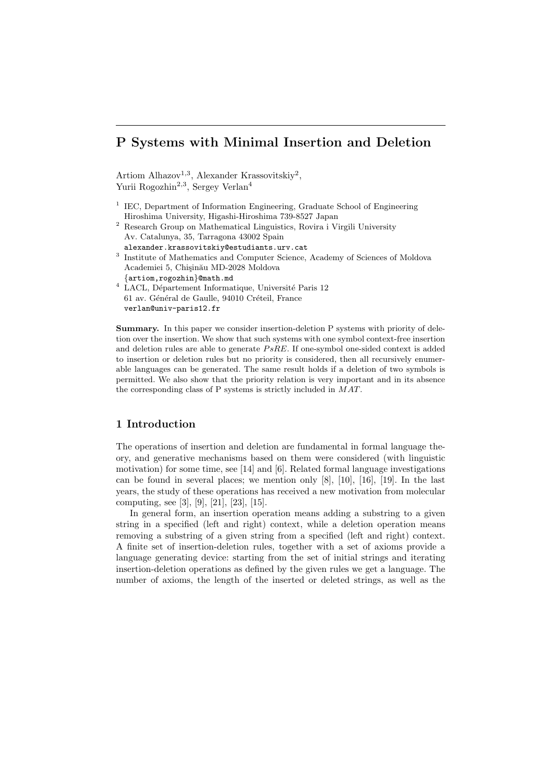## P Systems with Minimal Insertion and Deletion

Artiom Alhazov<sup>1,3</sup>, Alexander Krassovitskiy<sup>2</sup>, Yurii Rogozhin<sup>2,3</sup>, Sergey Verlan<sup>4</sup>

- <sup>1</sup> IEC, Department of Information Engineering, Graduate School of Engineering Hiroshima University, Higashi-Hiroshima 739-8527 Japan
- $^{\rm 2}$  Research Group on Mathematical Linguistics, Rovira i Virgili University Av. Catalunya, 35, Tarragona 43002 Spain
- alexander.krassovitskiy@estudiants.urv.cat <sup>3</sup> Institute of Mathematics and Computer Science, Academy of Sciences of Moldova Academiei 5, Chișinău MD-2028 Moldova {artiom,rogozhin}@math.md
- $4$  LACL, Département Informatique, Université Paris 12 61 av. Général de Gaulle, 94010 Créteil, France verlan@univ-paris12.fr

Summary. In this paper we consider insertion-deletion P systems with priority of deletion over the insertion. We show that such systems with one symbol context-free insertion and deletion rules are able to generate  $PsRE$ . If one-symbol one-sided context is added to insertion or deletion rules but no priority is considered, then all recursively enumerable languages can be generated. The same result holds if a deletion of two symbols is permitted. We also show that the priority relation is very important and in its absence the corresponding class of P systems is strictly included in MAT.

## 1 Introduction

The operations of insertion and deletion are fundamental in formal language theory, and generative mechanisms based on them were considered (with linguistic motivation) for some time, see [14] and [6]. Related formal language investigations can be found in several places; we mention only [8], [10], [16], [19]. In the last years, the study of these operations has received a new motivation from molecular computing, see [3], [9], [21], [23], [15].

In general form, an insertion operation means adding a substring to a given string in a specified (left and right) context, while a deletion operation means removing a substring of a given string from a specified (left and right) context. A finite set of insertion-deletion rules, together with a set of axioms provide a language generating device: starting from the set of initial strings and iterating insertion-deletion operations as defined by the given rules we get a language. The number of axioms, the length of the inserted or deleted strings, as well as the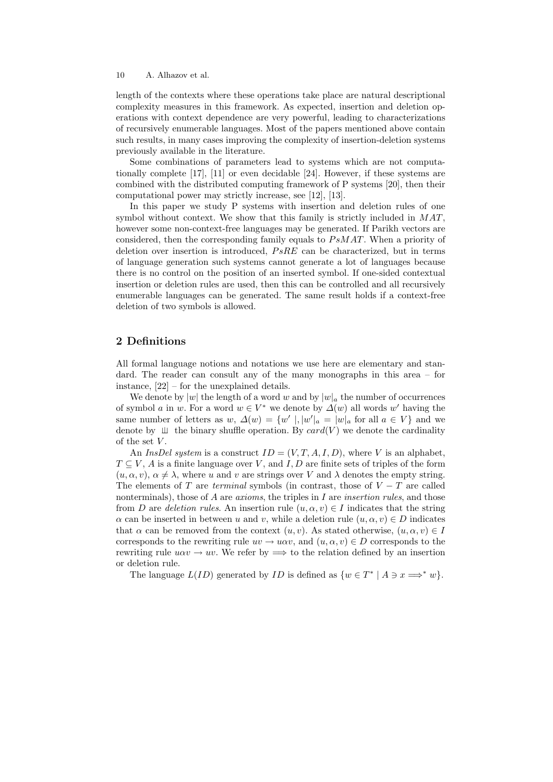length of the contexts where these operations take place are natural descriptional complexity measures in this framework. As expected, insertion and deletion operations with context dependence are very powerful, leading to characterizations of recursively enumerable languages. Most of the papers mentioned above contain such results, in many cases improving the complexity of insertion-deletion systems previously available in the literature.

Some combinations of parameters lead to systems which are not computationally complete [17], [11] or even decidable [24]. However, if these systems are combined with the distributed computing framework of P systems [20], then their computational power may strictly increase, see [12], [13].

In this paper we study P systems with insertion and deletion rules of one symbol without context. We show that this family is strictly included in  $MAT$ , however some non-context-free languages may be generated. If Parikh vectors are considered, then the corresponding family equals to  $PsMAT$ . When a priority of deletion over insertion is introduced,  $PsRE$  can be characterized, but in terms of language generation such systems cannot generate a lot of languages because there is no control on the position of an inserted symbol. If one-sided contextual insertion or deletion rules are used, then this can be controlled and all recursively enumerable languages can be generated. The same result holds if a context-free deletion of two symbols is allowed.

## 2 Definitions

All formal language notions and notations we use here are elementary and standard. The reader can consult any of the many monographs in this area – for instance, [22] – for the unexplained details.

We denote by  $|w|$  the length of a word w and by  $|w|_a$  the number of occurrences of symbol a in w. For a word  $w \in V^*$  we denote by  $\Delta(w)$  all words w' having the same number of letters as  $w, \Delta(w) = \{w' \mid, |w'|_a = |w|_a \text{ for all } a \in V\}$  and we denote by  $\perp \!\!\! \perp$  the binary shuffle operation. By card(V) we denote the cardinality of the set  $V$ .

An InsDel system is a construct  $ID = (V, T, A, I, D)$ , where V is an alphabet,  $T \subseteq V$ , A is a finite language over V, and I, D are finite sets of triples of the form  $(u, \alpha, v)$ ,  $\alpha \neq \lambda$ , where u and v are strings over V and  $\lambda$  denotes the empty string. The elements of T are terminal symbols (in contrast, those of  $V - T$  are called nonterminals), those of  $A$  are *axioms*, the triples in  $I$  are *insertion rules*, and those from D are deletion rules. An insertion rule  $(u, \alpha, v) \in I$  indicates that the string  $\alpha$  can be inserted in between u and v, while a deletion rule  $(u, \alpha, v) \in D$  indicates that  $\alpha$  can be removed from the context  $(u, v)$ . As stated otherwise,  $(u, \alpha, v) \in I$ corresponds to the rewriting rule  $uv \to u\alpha v$ , and  $(u, \alpha, v) \in D$  corresponds to the rewriting rule  $u\alpha v \rightarrow uv$ . We refer by  $\implies$  to the relation defined by an insertion or deletion rule.

The language  $L(ID)$  generated by *ID* is defined as  $\{w \in T^* \mid A \ni x \Longrightarrow^* w\}.$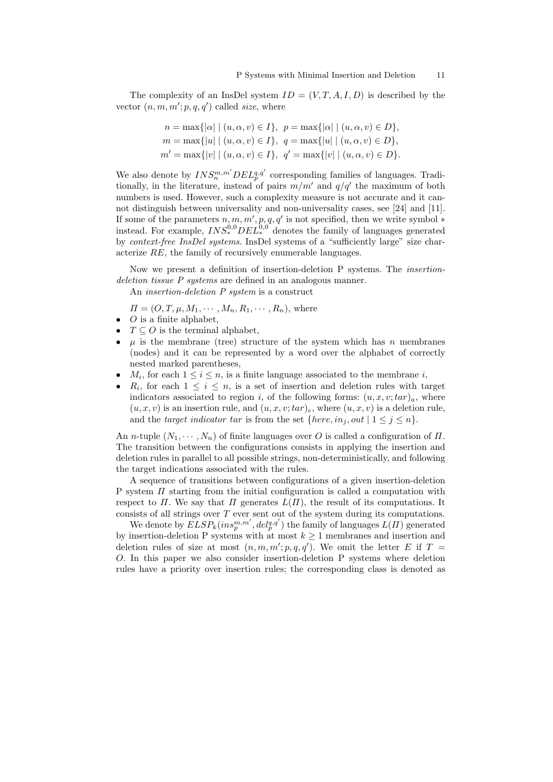The complexity of an InsDel system  $ID = (V, T, A, I, D)$  is described by the vector  $(n, m, m'; p, q, q')$  called size, where

$$
n = \max\{|a| | (u, \alpha, v) \in I\}, \quad p = \max\{|a| | (u, \alpha, v) \in D\},
$$
  
\n
$$
m = \max\{|u| | (u, \alpha, v) \in I\}, \quad q = \max\{|u| | (u, \alpha, v) \in D\},
$$
  
\n
$$
m' = \max\{|v| | (u, \alpha, v) \in I\}, \quad q' = \max\{|v| | (u, \alpha, v) \in D\}.
$$

We also denote by  $INS_{n}^{m,m'} DEL_{p}^{q,q'}$  corresponding families of languages. Traditionally, in the literature, instead of pairs  $m/m'$  and  $q/q'$  the maximum of both numbers is used. However, such a complexity measure is not accurate and it cannot distinguish between universality and non-universality cases, see [24] and [11]. If some of the parameters  $n, m, m', p, q, q'$  is not specified, then we write symbol  $*$ instead. For example,  $INS^{0,0}_{*}DEL^{0,0}_{*}$  denotes the family of languages generated by context-free InsDel systems. InsDel systems of a "sufficiently large" size characterize RE, the family of recursively enumerable languages.

Now we present a definition of insertion-deletion P systems. The insertiondeletion tissue P systems are defined in an analogous manner.

An insertion-deletion P system is a construct

 $\Pi = (O, T, \mu, M_1, \cdots, M_n, R_1, \cdots, R_n)$ , where

- $\bullet$  *O* is a finite alphabet,
- $T \subseteq O$  is the terminal alphabet,
- $\mu$  is the membrane (tree) structure of the system which has n membranes (nodes) and it can be represented by a word over the alphabet of correctly nested marked parentheses,
- $M_i$ , for each  $1 \leq i \leq n$ , is a finite language associated to the membrane i,
- $R_i$ , for each  $1 \leq i \leq n$ , is a set of insertion and deletion rules with target indicators associated to region i, of the following forms:  $(u, x, v; tar)_a$ , where  $(u, x, v)$  is an insertion rule, and  $(u, x, v; tar)_e$ , where  $(u, x, v)$  is a deletion rule, and the target indicator tar is from the set  ${here, in_j, out \mid 1 \leq j \leq n}.$

An *n*-tuple  $(N_1, \dots, N_n)$  of finite languages over O is called a configuration of  $\Pi$ . The transition between the configurations consists in applying the insertion and deletion rules in parallel to all possible strings, non-deterministically, and following the target indications associated with the rules.

A sequence of transitions between configurations of a given insertion-deletion P system  $\Pi$  starting from the initial configuration is called a computation with respect to  $\Pi$ . We say that  $\Pi$  generates  $L(\Pi)$ , the result of its computations. It consists of all strings over  $T$  ever sent out of the system during its computations.

We denote by  $ELSP_k(ins_p^{m,m'}, del_p^{q,q'})$  the family of languages  $L(\Pi)$  generated by insertion-deletion P systems with at most  $k \geq 1$  membranes and insertion and deletion rules of size at most  $(n, m, m'; p, q, q')$ . We omit the letter E if T = O. In this paper we also consider insertion-deletion P systems where deletion rules have a priority over insertion rules; the corresponding class is denoted as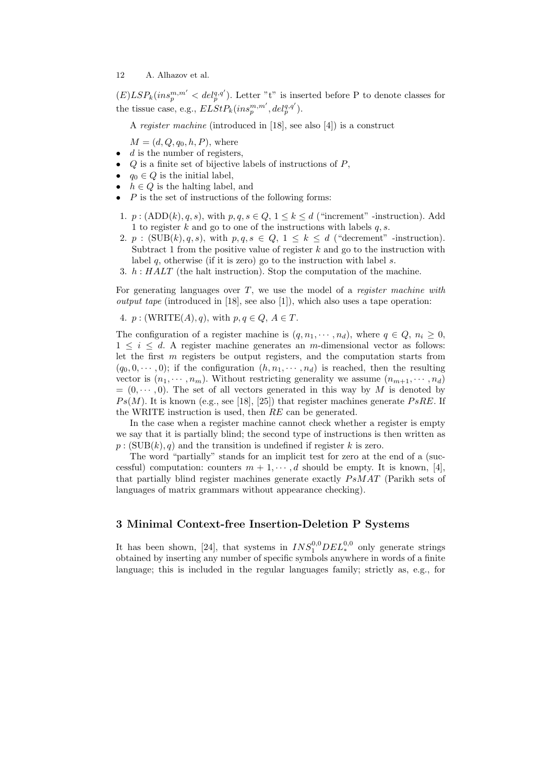$(E) LSP_k(ins_p^{m,m'} < del_p^{q,q'})$ . Letter "t" is inserted before P to denote classes for the tissue case, e.g.,  $ELStP_k(ins_p^{m,m'}, del_p^{q,q'}).$ 

A register machine (introduced in [18], see also [4]) is a construct

 $M = (d, Q, q_0, h, P)$ , where

- $\bullet$  d is the number of registers,
- $Q$  is a finite set of bijective labels of instructions of  $P$ ,
- $q_0 \in Q$  is the initial label,
- $h \in Q$  is the halting label, and
- $P$  is the set of instructions of the following forms:
- 1.  $p: (ADD(k), q, s),$  with  $p, q, s \in Q$ ,  $1 \leq k \leq d$  ("increment" -instruction). Add 1 to register k and go to one of the instructions with labels  $q, s$ .
- 2. p :  $(SUB(k), q, s)$ , with  $p, q, s \in Q$ ,  $1 \leq k \leq d$  ("decrement" -instruction). Subtract 1 from the positive value of register  $k$  and go to the instruction with label  $q$ , otherwise (if it is zero) go to the instruction with label  $s$ .
- 3. h : HALT (the halt instruction). Stop the computation of the machine.

For generating languages over  $T$ , we use the model of a *register machine with output tape* (introduced in [18], see also [1]), which also uses a tape operation:

4. 
$$
p: (WRITE(A), q)
$$
, with  $p, q \in Q, A \in T$ .

The configuration of a register machine is  $(q, n_1, \dots, n_d)$ , where  $q \in Q$ ,  $n_i \geq 0$ ,  $1 \leq i \leq d$ . A register machine generates an m-dimensional vector as follows: let the first  $m$  registers be output registers, and the computation starts from  $(q_0, 0, \dots, 0)$ ; if the configuration  $(h, n_1, \dots, n_d)$  is reached, then the resulting vector is  $(n_1, \dots, n_m)$ . Without restricting generality we assume  $(n_{m+1}, \dots, n_d)$  $=(0, \dots, 0)$ . The set of all vectors generated in this way by M is denoted by  $Ps(M)$ . It is known (e.g., see [18], [25]) that register machines generate  $PsRE$ . If the WRITE instruction is used, then RE can be generated.

In the case when a register machine cannot check whether a register is empty we say that it is partially blind; the second type of instructions is then written as  $p : (SUB(k), q)$  and the transition is undefined if register k is zero.

The word "partially" stands for an implicit test for zero at the end of a (successful) computation: counters  $m + 1, \dots, d$  should be empty. It is known, [4], that partially blind register machines generate exactly  $PsMAT$  (Parikh sets of languages of matrix grammars without appearance checking).

## 3 Minimal Context-free Insertion-Deletion P Systems

It has been shown, [24], that systems in  $INS_1^{0,0}DEL_*^{0,0}$  only generate strings obtained by inserting any number of specific symbols anywhere in words of a finite language; this is included in the regular languages family; strictly as, e.g., for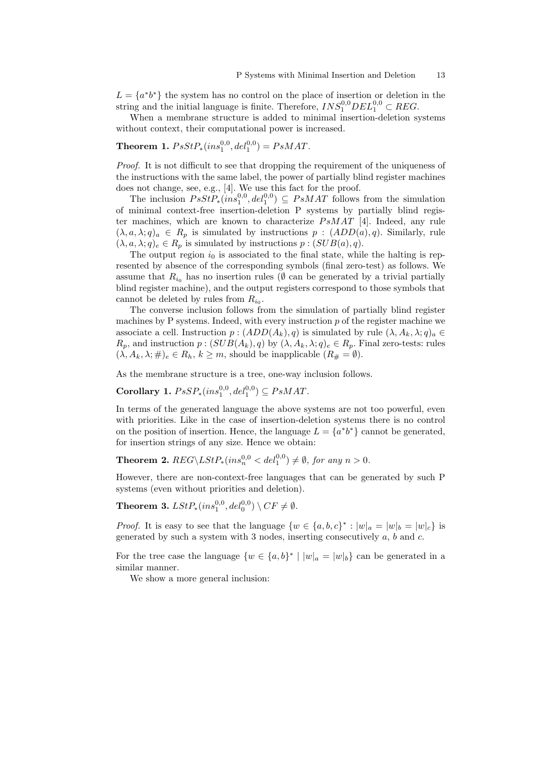$L = \{a^*b^*\}\$  the system has no control on the place of insertion or deletion in the string and the initial language is finite. Therefore,  $INS_1^{0,0}DEL_1^{0,0} \subset REG$ .

When a membrane structure is added to minimal insertion-deletion systems without context, their computational power is increased.

# Theorem 1.  $PsStP_*(ins_1^{0,0}, del_1^{0,0}) = PsMAT$ .

Proof. It is not difficult to see that dropping the requirement of the uniqueness of the instructions with the same label, the power of partially blind register machines does not change, see, e.g., [4]. We use this fact for the proof.

The inclusion  $PsStP_*(ins_1^{0,0}, del_1^{0,0}) \subseteq PsMAT$  follows from the simulation of minimal context-free insertion-deletion P systems by partially blind register machines, which are known to characterize  $PsMAT$  [4]. Indeed, any rule  $(\lambda, a, \lambda; q)_a \in R_p$  is simulated by instructions  $p : (ADD(a), q)$ . Similarly, rule  $(\lambda, a, \lambda; q)_e \in R_p$  is simulated by instructions  $p : (SUB(a), q)$ .

The output region  $i_0$  is associated to the final state, while the halting is represented by absence of the corresponding symbols (final zero-test) as follows. We assume that  $R_{i_0}$  has no insertion rules ( $\emptyset$  can be generated by a trivial partially blind register machine), and the output registers correspond to those symbols that cannot be deleted by rules from  $R_{i_0}$ .

The converse inclusion follows from the simulation of partially blind register machines by P systems. Indeed, with every instruction  $p$  of the register machine we associate a cell. Instruction  $p : (ADD(A_k), q)$  is simulated by rule  $(\lambda, A_k, \lambda, q)_a \in$  $R_p$ , and instruction  $p:(SUB(A_k), q)$  by  $(\lambda, A_k, \lambda; q)_e \in R_p$ . Final zero-tests: rules  $(\lambda, A_k, \lambda; \#)_e \in R_h, k \geq m$ , should be inapplicable  $(R_{\#} = \emptyset)$ .

As the membrane structure is a tree, one-way inclusion follows.

Corollary 1.  $PsSP_*(ins_1^{0,0}, del_1^{0,0}) \subseteq PsMAT$ .

In terms of the generated language the above systems are not too powerful, even with priorities. Like in the case of insertion-deletion systems there is no control on the position of insertion. Hence, the language  $L = \{a^*b^*\}\$  cannot be generated, for insertion strings of any size. Hence we obtain:

**Theorem 2.**  $REG\backslash LStP_*(ins_n^{0,0} < del_1^{0,0}) \neq \emptyset$ , for any  $n > 0$ .

However, there are non-context-free languages that can be generated by such P systems (even without priorities and deletion).

Theorem 3.  $LStP_*(ins_1^{0,0}, del_0^{0,0}) \setminus CF \neq \emptyset$ .

*Proof.* It is easy to see that the language  $\{w \in \{a, b, c\}^* : |w|_a = |w|_b = |w|_c\}$  is generated by such a system with 3 nodes, inserting consecutively  $a, b$  and  $c$ .

For the tree case the language  $\{w \in \{a,b\}^* \mid |w|_a = |w|_b\}$  can be generated in a similar manner.

We show a more general inclusion: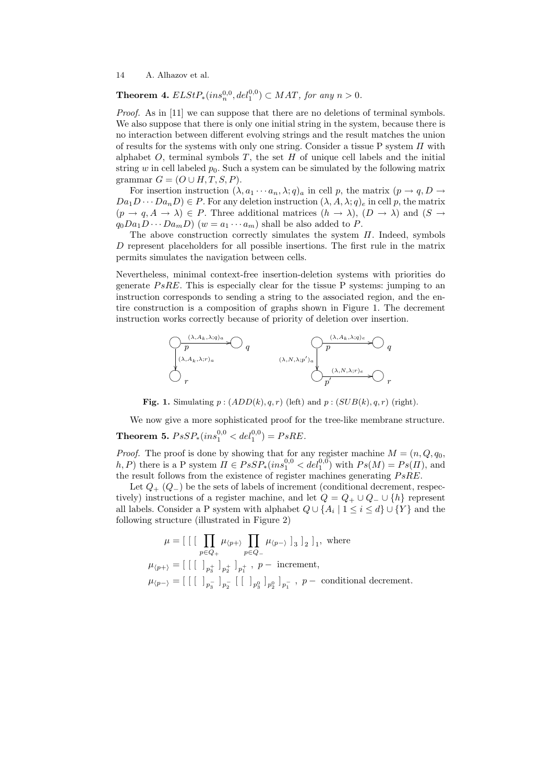**Theorem 4.**  $ELStP_*(ins_n^{0,0}, del_1^{0,0}) \subset MAT$ , for any  $n > 0$ .

Proof. As in [11] we can suppose that there are no deletions of terminal symbols. We also suppose that there is only one initial string in the system, because there is no interaction between different evolving strings and the result matches the union of results for the systems with only one string. Consider a tissue P system  $\Pi$  with alphabet  $O$ , terminal symbols  $T$ , the set  $H$  of unique cell labels and the initial string w in cell labeled  $p_0$ . Such a system can be simulated by the following matrix grammar  $G = (O \cup H, T, S, P)$ .

For insertion instruction  $(\lambda, a_1 \cdots a_n, \lambda; q)_a$  in cell p, the matrix  $(p \to q, D \to q]$  $Da_1D \cdots Da_nD) \in P$ . For any deletion instruction  $(\lambda, A, \lambda; q)_e$  in cell p, the matrix  $(p \to q, A \to \lambda) \in P$ . Three additional matrices  $(h \to \lambda)$ ,  $(D \to \lambda)$  and  $(S \to \lambda)$  $q_0Da_1D\cdots Da_mD$  ( $w=a_1\cdots a_m$ ) shall be also added to P.

The above construction correctly simulates the system  $\Pi$ . Indeed, symbols D represent placeholders for all possible insertions. The first rule in the matrix permits simulates the navigation between cells.

Nevertheless, minimal context-free insertion-deletion systems with priorities do generate PsRE. This is especially clear for the tissue P systems: jumping to an instruction corresponds to sending a string to the associated region, and the entire construction is a composition of graphs shown in Figure 1. The decrement instruction works correctly because of priority of deletion over insertion.



Fig. 1. Simulating  $p:(ADD(k), q, r)$  (left) and  $p:(SUB(k), q, r)$  (right).

We now give a more sophisticated proof for the tree-like membrane structure. **Theorem 5.**  $PsSP_*(ins_1^{0,0} < del_1^{0,0}) = PsRE$ .

*Proof.* The proof is done by showing that for any register machine  $M = (n, Q, q_0)$ , h, P) there is a P system  $\Pi \in PsSP_* (ins_1^{0,0} < del_1^{0,0})$  with  $Ps(M) = Ps(\Pi)$ , and the result follows from the existence of register machines generating  $PsRE$ .

Let  $Q_{+}$  ( $Q_{-}$ ) be the sets of labels of increment (conditional decrement, respectively) instructions of a register machine, and let  $Q = Q_+ \cup Q_- \cup \{h\}$  represent all labels. Consider a P system with alphabet  $Q \cup \{A_i \mid 1 \leq i \leq d\} \cup \{Y\}$  and the following structure (illustrated in Figure 2)

$$
\mu = \left[ \begin{array}{c} \left[ \begin{array}{c} \prod_{p \in Q_+} \mu_{\langle p + \rangle} \prod_{p \in Q_-} \mu_{\langle p - \rangle} \end{array} \right]_3 \right]_2 \right]_1, \text{ where}
$$
\n
$$
\mu_{\langle p + \rangle} = \left[ \begin{array}{c} \left[ \begin{array}{c} \left[ \begin{array}{c} \end{array} \right]_{p_3^+} \right]_{p_1^+} \\ \left[ \begin{array}{c} \end{array} \right]_{p_1^-} \end{array} \right]_p + p - \text{ increment},
$$
\n
$$
\mu_{\langle p - \rangle} = \left[ \begin{array}{c} \left[ \begin{array}{c} \left[ \begin{array}{c} \end{array} \right]_{p_3^-} \end{array} \right]_{p_2^-} \left[ \begin{array}{c} \end{array} \right]_{p_3^0} \end{array} \right]_{p_2^-} \right]_p - \text{ conditional decrement}.
$$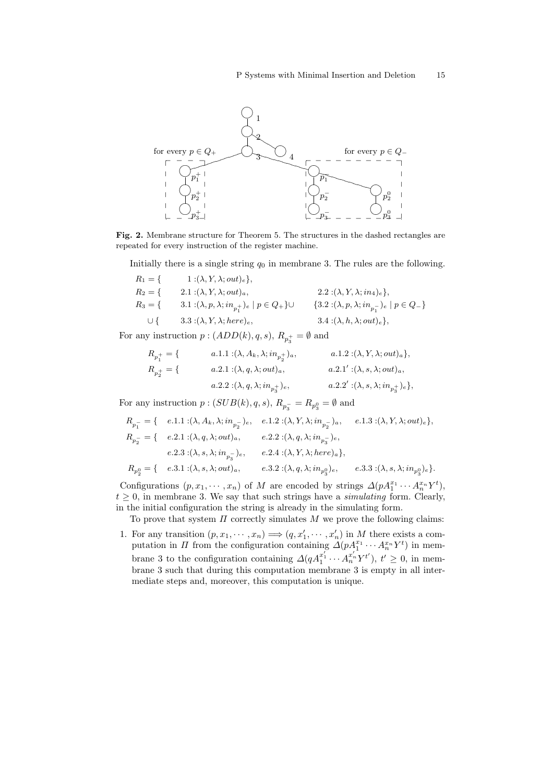

Fig. 2. Membrane structure for Theorem 5. The structures in the dashed rectangles are repeated for every instruction of the register machine.

Initially there is a single string  $q_0$  in membrane 3. The rules are the following.

$$
R_1 = \{ \begin{aligned} 1: (\lambda, Y, \lambda; out)_e \}, \\ R_2 = \{ \begin{aligned} 2.1: (\lambda, Y, \lambda; out)_a, \\ R_3 = \{ \begin{aligned} 3.1: (\lambda, p, \lambda; in_{p_1^+})_e \mid p \in Q_+ \} \cup \\ 3.3: (\lambda, Y, \lambda; here)_e, \end{aligned} \end{aligned} \right. \qquad 2.2: (\lambda, Y, \lambda; in_{p_1^-})_e \mid p \in Q_- \}
$$

For any instruction  $p:(ADD(k), q, s), R_{p_3^+} = \emptyset$  and

$$
\begin{aligned} R_{p_1^+} &= \{ & a.1.1: & (\lambda, A_k, \lambda; in_{p_2^+})_a, & a.1.2: & (\lambda, Y, \lambda; out)_a \}, \\ R_{p_2^+} &= \{ & a.2.1: & (\lambda, q, \lambda; out)_a, & a.2.1': & (\lambda, s, \lambda; out)_a, \\ & a.2.2: & (\lambda, q, \lambda; in_{p_3^+})_e, & a.2.2': & (\lambda, s, \lambda; in_{p_3^+})_e \}, \end{aligned}
$$

For any instruction  $p : (SUB(k), q, s), R_{p_3^-} = R_{p_3^0} = \emptyset$  and

$$
\begin{split} R_{p_1^-} &= \{ \quad e.1.1: & (\lambda, A_k, \lambda; in_{p_2^-})_e, \quad e.1.2: & (\lambda, Y, \lambda; in_{p_2^-})_a, \quad e.1.3: & (\lambda, Y, \lambda; out)_e \}, \\ R_{p_2^-} &= \{ \quad e.2.1: & (\lambda, q, \lambda; out)_a, \quad \quad e.2.2: & (\lambda, q, \lambda; in_{p_3^-})_e, \\ e.2.3: & (\lambda, s, \lambda; in_{p_3^-})_e, \quad \quad e.2.4: & (\lambda, Y, \lambda; here)_a \}, \\ R_{p_2^0} &= \{ \quad e.3.1: & (\lambda, s, \lambda; out)_a, \quad \quad e.3.2: & (\lambda, q, \lambda; in_{p_3^0})_e, \quad \quad e.3.3: & (\lambda, s, \lambda; in_{p_3^0})_e \}. \end{split}
$$

Configurations  $(p, x_1, \dots, x_n)$  of M are encoded by strings  $\Delta(pA_1^{x_1} \cdots A_n^{x_n} Y^t)$ ,  $t \geq 0$ , in membrane 3. We say that such strings have a *simulating* form. Clearly, in the initial configuration the string is already in the simulating form.

To prove that system  $\Pi$  correctly simulates  $M$  we prove the following claims:

1. For any transition  $(p, x_1, \dots, x_n) \Longrightarrow (q, x'_1, \dots, x'_n)$  in M there exists a computation in  $\Pi$  from the configuration containing  $\Delta(pA_1^{x_1}\cdots A_n^{x_n}Y^t)$  in membrane 3 to the configuration containing  $\Delta(qA_1^{x'_1} \cdots A_n^{x'_n} Y^{t'})$ ,  $t' \geq 0$ , in membrane 3 such that during this computation membrane 3 is empty in all intermediate steps and, moreover, this computation is unique.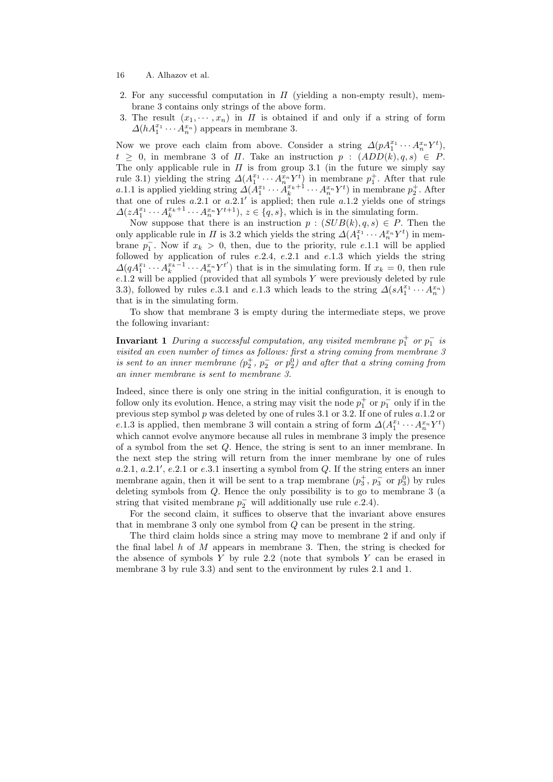- 16 A. Alhazov et al.
- 2. For any successful computation in  $\Pi$  (yielding a non-empty result), membrane 3 contains only strings of the above form.
- 3. The result  $(x_1, \dots, x_n)$  in  $\Pi$  is obtained if and only if a string of form  $\Delta(hA_1^{x_1}\cdots A_n^{x_n})$  appears in membrane 3.

Now we prove each claim from above. Consider a string  $\Delta(pA_1^{x_1}\cdots A_n^{x_n}Y^t)$ ,  $t \geq 0$ , in membrane 3 of  $\Pi$ . Take an instruction  $p : (ADD(k), q, s) \in P$ . The only applicable rule in  $\Pi$  is from group 3.1 (in the future we simply say rule 3.1) yielding the string  $\Delta(A_1^{x_1} \cdots A_n^{x_n} Y_t^t)$  in membrane  $p_1^+$ . After that rule a.1.1 is applied yielding string  $\Delta(A_1^{x_1} \cdots A_k^{x_k+1} \cdots A_n^{x_n} Y^t)$  in membrane  $p_2^+$ . After that one of rules  $a.2.1$  or  $a.2.1'$  is applied; then rule  $a.1.2$  yields one of strings  $\Delta(zA_1^{x_1}\cdots A_k^{x_k+1}\cdots A_n^{x_n}Y^{t+1}), z \in \{q, s\},\$  which is in the simulating form.

Now suppose that there is an instruction  $p : (SUB(k), q, s) \in P$ . Then the only applicable rule in  $\Pi$  is 3.2 which yields the string  $\Delta(A_1^{x_1} \cdots A_n^{x_n} Y^t)$  in membrane  $p_1^-$ . Now if  $x_k > 0$ , then, due to the priority, rule e.1.1 will be applied followed by application of rules  $e.2.4$ ,  $e.2.1$  and  $e.1.3$  which yields the string  $\Delta(qA_1^{x_1}\cdots A_k^{x_k-1}\cdots A_n^{x_n}Y^{t'})$  that is in the simulating form. If  $x_k=0$ , then rule  $e.1.2$  will be applied (provided that all symbols  $Y$  were previously deleted by rule 3.3), followed by rules e.3.1 and e.1.3 which leads to the string  $\Delta(sA_1^{x_1} \cdots A_n^{x_n})$ that is in the simulating form.

To show that membrane 3 is empty during the intermediate steps, we prove the following invariant:

**Invariant 1** During a successful computation, any visited membrane  $p_1^+$  or  $p_1^-$  is visited an even number of times as follows: first a string coming from membrane 3 is sent to an inner membrane  $(p_2^+, p_2^- \text{ or } p_2^0)$  and after that a string coming from an inner membrane is sent to membrane 3.

Indeed, since there is only one string in the initial configuration, it is enough to follow only its evolution. Hence, a string may visit the node  $p_1^+$  or  $p_1^-$  only if in the previous step symbol  $p$  was deleted by one of rules 3.1 or 3.2. If one of rules  $a.1.2$  or e.1.3 is applied, then membrane 3 will contain a string of form  $\Delta(A_1^{x_1} \cdots A_n^{x_n} Y^t)$ which cannot evolve anymore because all rules in membrane 3 imply the presence of a symbol from the set Q. Hence, the string is sent to an inner membrane. In the next step the string will return from the inner membrane by one of rules  $a.2.1, a.2.1', e.2.1$  or  $e.3.1$  inserting a symbol from Q. If the string enters an inner membrane again, then it will be sent to a trap membrane  $(p_3^+, p_3^-)$  or  $p_3^0$  by rules deleting symbols from Q. Hence the only possibility is to go to membrane 3 (a string that visited membrane  $p_2^-$  will additionally use rule e.2.4).

For the second claim, it suffices to observe that the invariant above ensures that in membrane 3 only one symbol from Q can be present in the string.

The third claim holds since a string may move to membrane 2 if and only if the final label h of M appears in membrane 3. Then, the string is checked for the absence of symbols  $Y$  by rule 2.2 (note that symbols  $Y$  can be erased in membrane 3 by rule 3.3) and sent to the environment by rules 2.1 and 1.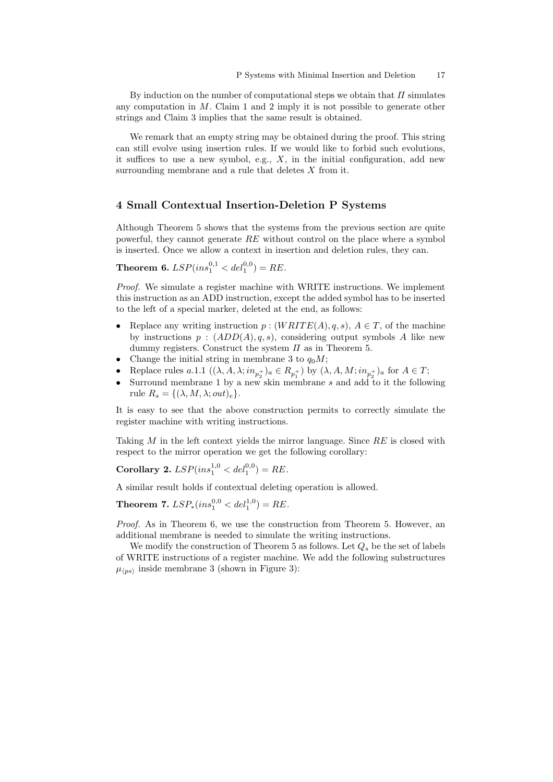By induction on the number of computational steps we obtain that  $\Pi$  simulates any computation in  $M$ . Claim 1 and 2 imply it is not possible to generate other strings and Claim 3 implies that the same result is obtained.

We remark that an empty string may be obtained during the proof. This string can still evolve using insertion rules. If we would like to forbid such evolutions, it suffices to use a new symbol, e.g.,  $X$ , in the initial configuration, add new surrounding membrane and a rule that deletes  $X$  from it.

#### 4 Small Contextual Insertion-Deletion P Systems

Although Theorem 5 shows that the systems from the previous section are quite powerful, they cannot generate  $RE$  without control on the place where a symbol is inserted. Once we allow a context in insertion and deletion rules, they can.

**Theorem 6.**  $LSP-ins_1^{0,1} < del_1^{0,0} = RE$ .

Proof. We simulate a register machine with WRITE instructions. We implement this instruction as an ADD instruction, except the added symbol has to be inserted to the left of a special marker, deleted at the end, as follows:

- Replace any writing instruction  $p : (WRITE(A), q, s), A \in T$ , of the machine by instructions  $p : (ADD(A), q, s)$ , considering output symbols A like new dummy registers. Construct the system  $\Pi$  as in Theorem 5.
- Change the initial string in membrane 3 to  $q_0M$ ;
- Replace rules  $a.1.1\ ((\lambda, A, \lambda; in_{p_2^+})_a \in R_{p_1^+})$  by  $(\lambda, A, M; in_{p_2^+})_a$  for  $A \in T$ ;
- Surround membrane 1 by a new skin membrane  $s$  and add to it the following rule  $R_s = \{(\lambda, M, \lambda; out)_e\}.$

It is easy to see that the above construction permits to correctly simulate the register machine with writing instructions.

Taking  $M$  in the left context yields the mirror language. Since  $RE$  is closed with respect to the mirror operation we get the following corollary:

Corollary 2.  $LSP-ins_1^{1,0} < del_1^{0,0} = RE$ .

A similar result holds if contextual deleting operation is allowed.

Theorem 7.  $LSP_*(ins_1^{0,0} < del_1^{1,0}) = RE$ .

Proof. As in Theorem 6, we use the construction from Theorem 5. However, an additional membrane is needed to simulate the writing instructions.

We modify the construction of Theorem 5 as follows. Let  $Q_s$  be the set of labels of WRITE instructions of a register machine. We add the following substructures  $\mu_{\langle ps \rangle}$  inside membrane 3 (shown in Figure 3):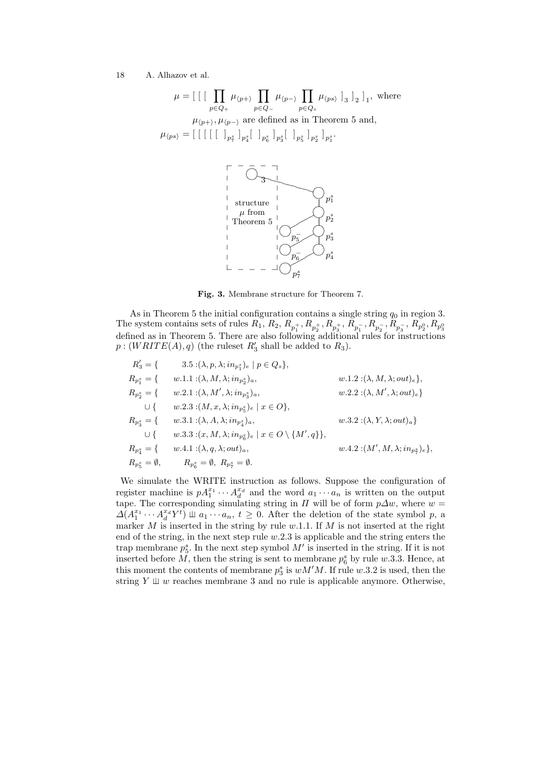$$
\mu = \left[ \begin{array}{c} \left[ \begin{array}{c} \prod_{p \in Q_+} \mu_{\langle p + \rangle} \prod_{p \in Q_-} \mu_{\langle p - \rangle} \prod_{p \in Q_s} \mu_{\langle ps \rangle} \end{array} \right]_3 \right]_2 \right]_1, \text{ where}
$$
\n
$$
\mu_{\langle p + \rangle}, \mu_{\langle p - \rangle} \text{ are defined as in Theorem 5 and,}
$$
\n
$$
\mu_{\langle ps \rangle} = \left[ \begin{array}{c} \left[ \begin{array}{c} \left[ \begin{array}{c} \left[ \begin{array}{c} \end{array} \right]_{p_1^s} \end{array} \right]_{p_2^s} \right]_{p_3^s} \left[ \begin{array}{c} \end{array} \right]_{p_3^s} \left[ \begin{array}{c} \end{array} \right]_{p_3^s} \end{array} \right]_{p_1^s}.
$$



Fig. 3. Membrane structure for Theorem 7.

As in Theorem 5 the initial configuration contains a single string  $q_0$  in region 3. The system contains sets of rules  $R_1, R_2, R_{p_1^+}, R_{p_2^+}, R_{p_3^+}, R_{p_1^-}, R_{p_2^-}, R_{p_3^-}, R_{p_2^0}, R_{p_3^0}$ <br>defined as in Theorem 5. There are also following additional rules for instructions  $p:(WRITE(A), q)$  (the ruleset  $R'_3$  shall be added to  $R_3$ ).

$$
R'_3 = \{ \n\begin{aligned}\n& 3.5: (\lambda, p, \lambda; in_{p_1^s})_e \mid p \in Q_s \}, \\
& R_{p_1^s} = \{ \n\begin{aligned}\n& w.1.1: (\lambda, M, \lambda; in_{p_2^s})_a, \\
& W_{p_2^s} = \{ \n\begin{aligned}\n& w.2.1: (\lambda, M', \lambda; in_{p_3^s})_a, \\
& w.2.2: (\lambda, M', \lambda; out)_e \} \\
& \cup \{ \n\begin{aligned}\n& w.2.3: (M, x, \lambda; in_{p_5^s})_e \mid x \in O \}, \\
& w.3.1: (\lambda, A, \lambda; in_{p_4^s})_a, \\
& W.3.2: (\lambda, Y, \lambda; out)_a \} \\
& W_{p_4^s} = \{ \n\begin{aligned}\n& w.3.1: (\lambda, A, \lambda; in_{p_6^s})_e \mid x \in O \setminus \{M', q\} \}, \\
& w.4.2: (M', M, \lambda; in_{p_7^s})_e \}, \\
& R_{p_5^s} = \emptyset, \n\end{aligned}\n\end{aligned}\n\}
$$

We simulate the WRITE instruction as follows. Suppose the configuration of register machine is  $pA_1^{x_1}\cdots A_d^{x_d}$  and the word  $a_1\cdots a_n$  is written on the output tape. The corresponding simulating string in  $\Pi$  will be of form  $p\Delta w$ , where  $w =$  $\Delta(A_1^{x_1} \cdots A_d^{x_d} Y^t) \perp a_1 \cdots a_n, t \geq 0$ . After the deletion of the state symbol p, a marker M is inserted in the string by rule  $w.1.1$ . If M is not inserted at the right end of the string, in the next step rule  $w.2.3$  is applicable and the string enters the trap membrane  $p_5^s$ . In the next step symbol  $M'$  is inserted in the string. If it is not inserted before  $\tilde{M}$ , then the string is sent to membrane  $p_6^s$  by rule w.3.3. Hence, at this moment the contents of membrane  $p_3^s$  is  $wM'M$ . If rule w.3.2 is used, then the string  $Y \perp\!\!\!\perp w$  reaches membrane 3 and no rule is applicable anymore. Otherwise,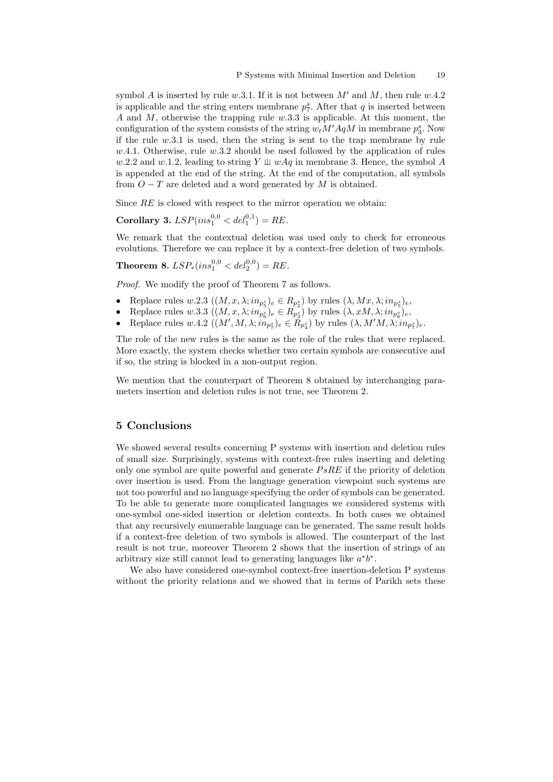symbol A is inserted by rule w.3.1. If it is not between  $M'$  and  $M$ , then rule w.4.2 is applicable and the string enters membrane  $p_7^s$ . After that q is inserted between A and M, otherwise the trapping rule  $w.3.3$  is applicable. At this moment, the configuration of the system consists of the string  $w_t M' A q M$  in membrane  $p_3^s$ . Now if the rule  $w.3.1$  is used, then the string is sent to the trap membrane by rule  $w.4.1.$  Otherwise, rule  $w.3.2$  should be used followed by the application of rules w.2.2 and w.1.2, leading to string Y  $\perp \!\!\! \perp wAq$  in membrane 3. Hence, the symbol A is appended at the end of the string. At the end of the computation, all symbols from  $O-T$  are deleted and a word generated by M is obtained.

Since  $RE$  is closed with respect to the mirror operation we obtain:

Corollary 3.  $LSP-ins_1^{0,0} < del_1^{0,1}) = RE$ .

We remark that the contextual deletion was used only to check for erroneous evolutions. Therefore we can replace it by a context-free deletion of two symbols.

Theorem 8.  $LSP_*(ins_1^{0,0} < del_2^{0,0}) = RE$ .

Proof. We modify the proof of Theorem 7 as follows.

- Replace rules  $w.2.3\ ((M, x, \lambda; in_{p_5^s})_e \in R_{p_2^s})$  by rules  $(\lambda, Mx, \lambda; in_{p_5^s})_e$ ,
- Replace rules w.3.3  $((M, x, \lambda; in_{p_6^s})_e \in R_{p_3^s})$  by rules  $(\lambda, xM, \lambda; in_{p_6^s})_e$ ,
- Replace rules  $w.4.2\ ((M', M, \lambda; \widetilde{in}_{p_7^s})_e \in \widetilde{R}_{p_4^s})$  by rules  $(\lambda, M'M, \lambda; \widetilde{in}_{p_7^s})_e$ .

The role of the new rules is the same as the role of the rules that were replaced. More exactly, the system checks whether two certain symbols are consecutive and if so, the string is blocked in a non-output region.

We mention that the counterpart of Theorem 8 obtained by interchanging parameters insertion and deletion rules is not true, see Theorem 2.

### 5 Conclusions

We showed several results concerning P systems with insertion and deletion rules of small size. Surprisingly, systems with context-free rules inserting and deleting only one symbol are quite powerful and generate  $PsRE$  if the priority of deletion over insertion is used. From the language generation viewpoint such systems are not too powerful and no language specifying the order of symbols can be generated. To be able to generate more complicated languages we considered systems with one-symbol one-sided insertion or deletion contexts. In both cases we obtained that any recursively enumerable language can be generated. The same result holds if a context-free deletion of two symbols is allowed. The counterpart of the last result is not true, moreover Theorem 2 shows that the insertion of strings of an arbitrary size still cannot lead to generating languages like  $a^*b^*$ .

We also have considered one-symbol context-free insertion-deletion P systems without the priority relations and we showed that in terms of Parikh sets these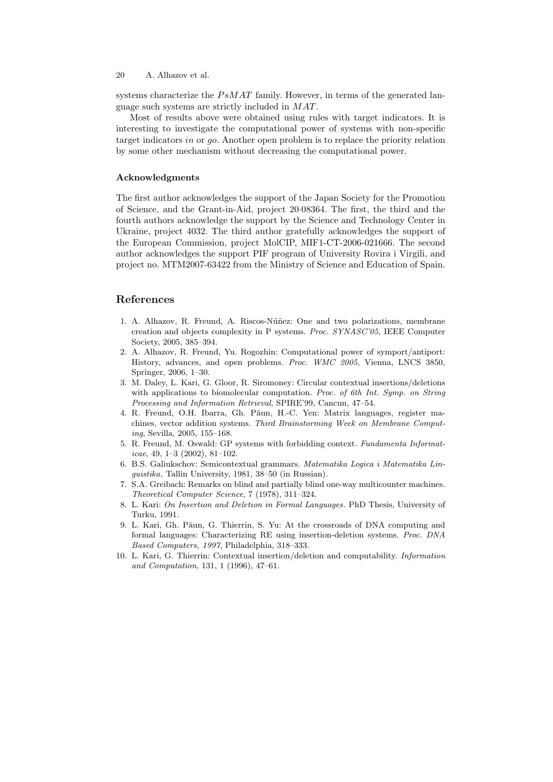systems characterize the  $PsMAT$  family. However, in terms of the generated language such systems are strictly included in MAT.

Most of results above were obtained using rules with target indicators. It is interesting to investigate the computational power of systems with non-specific target indicators in or go. Another open problem is to replace the priority relation by some other mechanism without decreasing the computational power.

#### Acknowledgments

The first author acknowledges the support of the Japan Society for the Promotion of Science, and the Grant-in-Aid, project 20·08364. The first, the third and the fourth authors acknowledge the support by the Science and Technology Center in Ukraine, project 4032. The third author gratefully acknowledges the support of the European Commission, project MolCIP, MIF1-CT-2006-021666. The second author acknowledges the support PIF program of University Rovira i Virgili, and project no. MTM2007-63422 from the Ministry of Science and Education of Spain.

### References

- 1. A. Alhazov, R. Freund, A. Riscos-Núñez: One and two polarizations, membrane creation and objects complexity in P systems. Proc. SYNASC'05, IEEE Computer Society, 2005, 385–394.
- 2. A. Alhazov, R. Freund, Yu. Rogozhin: Computational power of symport/antiport: History, advances, and open problems. Proc. WMC 2005, Vienna, LNCS 3850, Springer, 2006, 1–30.
- 3. M. Daley, L. Kari, G. Gloor, R. Siromoney: Circular contextual insertions/deletions with applications to biomolecular computation. Proc. of 6th Int. Symp. on String Processing and Information Retrieval, SPIRE'99, Cancun, 47–54.
- 4. R. Freund, O.H. Ibarra, Gh. Păun, H.-C. Yen: Matrix languages, register machines, vector addition systems. Third Brainstorming Week on Membrane Computing, Sevilla, 2005, 155–168.
- 5. R. Freund, M. Oswald: GP systems with forbidding context. Fundamenta Informaticae, 49, 1–3 (2002), 81–102.
- 6. B.S. Galiukschov: Semicontextual grammars. Matematika Logica i Matematika Linguistika, Tallin University, 1981, 38–50 (in Russian).
- 7. S.A. Greibach: Remarks on blind and partially blind one-way multicounter machines. Theoretical Computer Science, 7 (1978), 311–324.
- 8. L. Kari: On Insertion and Deletion in Formal Languages . PhD Thesis, University of Turku, 1991.
- 9. L. Kari, Gh. Păun, G. Thierrin, S. Yu: At the crossroads of DNA computing and formal languages: Characterizing RE using insertion-deletion systems. Proc. DNA Based Computers, 1997, Philadelphia, 318–333.
- 10. L. Kari, G. Thierrin: Contextual insertion/deletion and computability. Information and Computation, 131, 1 (1996), 47–61.